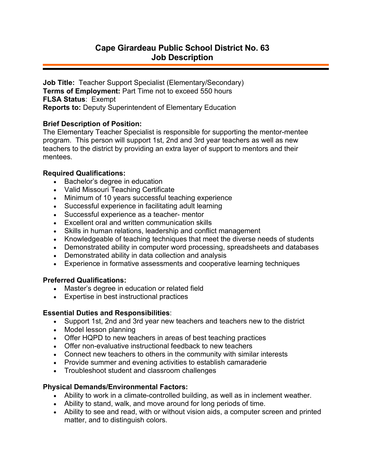**Job Title:** Teacher Support Specialist (Elementary/Secondary) **Terms of Employment:** Part Time not to exceed 550 hours **FLSA Status**: Exempt **Reports to:** Deputy Superintendent of Elementary Education

## **Brief Description of Position:**

The Elementary Teacher Specialist is responsible for supporting the mentor-mentee program. This person will support 1st, 2nd and 3rd year teachers as well as new teachers to the district by providing an extra layer of support to mentors and their mentees.

## **Required Qualifications:**

- Bachelor's degree in education
- Valid Missouri Teaching Certificate
- Minimum of 10 years successful teaching experience
- Successful experience in facilitating adult learning
- Successful experience as a teacher- mentor
- Excellent oral and written communication skills
- Skills in human relations, leadership and conflict management
- Knowledgeable of teaching techniques that meet the diverse needs of students
- Demonstrated ability in computer word processing, spreadsheets and databases
- Demonstrated ability in data collection and analysis
- Experience in formative assessments and cooperative learning techniques

# **Preferred Qualifications:**

- Master's degree in education or related field
- Expertise in best instructional practices

### **Essential Duties and Responsibilities**:

- Support 1st, 2nd and 3rd year new teachers and teachers new to the district
- Model lesson planning
- Offer HQPD to new teachers in areas of best teaching practices
- Offer non-evaluative instructional feedback to new teachers
- Connect new teachers to others in the community with similar interests
- Provide summer and evening activities to establish camaraderie
- Troubleshoot student and classroom challenges

# **Physical Demands/Environmental Factors:**

- Ability to work in a climate-controlled building, as well as in inclement weather.
- Ability to stand, walk, and move around for long periods of time.
- Ability to see and read, with or without vision aids, a computer screen and printed matter, and to distinguish colors.